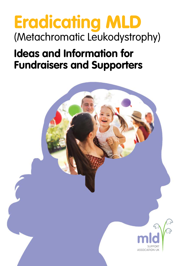# **Eradicating** MLD (Metachromatic Leukodystrophy)

## **Ideas and Information for Fundraisers and Supporters**

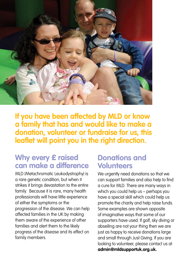

**If you have been affected by MLD or know a family that has and would like to make a donation, volunteer or fundraise for us, this leaflet will point you in the right direction.**

### **Why every £ raised can make a difference**

MLD (Metachromatic Leukodystrophy) is a rare genetic condition, but when it strikes it brings devastation to the entire family. Because it is rare, many health professionals will have little experience of either the symptoms or the progression of the disease. We can help affected families in the UK by making them aware of the experience of other families and alert them to the likely progress of the disease and its effect on family members.

### **Donations and Volunteers**

We urgently need donations so that we can support families and also help to find a cure for MLD. There are many ways in which you could help us – perhaps you have a special skill which could help us promote the charity and help raise funds. Some examples are shown opposite of imaginative ways that some of our supporters have used. If golf, sky diving or abseiling are not your thing then we are just as happy to receive donations large and small through Just Giving. If you are looking to volunteer, please contact us at **admin@mldsupportuk.org.uk.**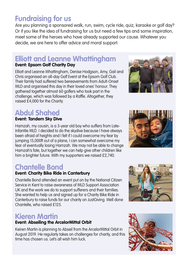### **Fundraising for us**

Are you planning a sponsored walk, run, swim, cycle ride, quiz, karaoke or golf day? Or if you like the idea of fundraising for us but need a few tips and some inspiration, meet some of the heroes who have already supported our cause. Whatever you decide, we are here to offer advice and moral support.

### **Elliott and Leanne Whattingham**

#### **Event: Epsom Golf Charity Day**

Elliott and Leanne Whattingham, Denise Hodgson, Amy, Gail and Chris organised an all-day Golf Event at the Epsom Golf Club. Their family had suffered two bereavements from Adult-Onset MLD and organised this day in their loved ones' honour. They gathered together almost 60 golfers who took part in the challenge, which was followed by a Raffle. Altogether, they raised £4,000 for the Charity.

### **Abdul Shahed**

#### **Event: Tandem Sky Dive**

Hamzah, my cousin, is a 3-year old boy who suffers from Late-Infantile MLD. I decided to do the skydive because I have always been afraid of heights and I felt if I could overcome my fear by jumping 15,000ft out of a plane, I can somewhat overcome my fear of eventually losing Hamzah. We may not be able to change Hamzah's fate, but together we can help give other children like him a brighter future. With my supporters we raised £2,740.

### **Chantelle Bond**

#### **Event: Charity Bike Ride in Canterbury**

Chantelle Bond attended an event put on by the National Citizen Service in Kent to raise awareness of MLD Support Association UK and the work we do to support sufferers and their families. She wanted to help us and signed up for a Charity Bike Ride in Canterbury to raise funds for our charity on JustGiving. Well done Chantelle, who raised £125.

### **Kieren Martin**

#### **Event: Abseiling the ArcelorMittal Orbit**

Keiren Martin is planning to Abseil from the ArcelorMittal Orbit in August 2019. He regularly takes on challenges for charity, and this time has chosen us. Let's all wish him luck.